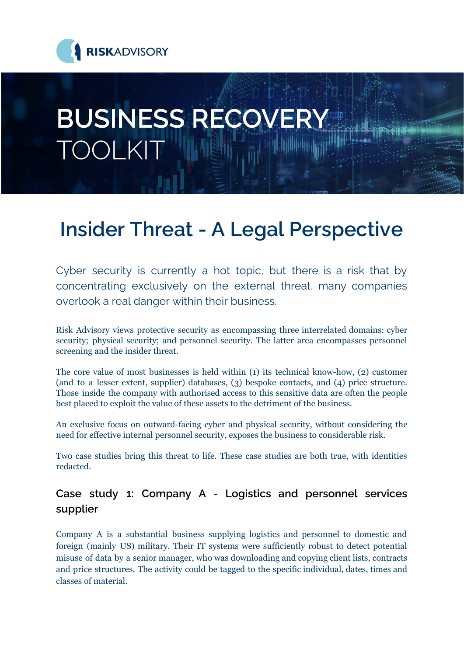

# **BUSINESS RECOVERY TOOLKIT**

## **Insider Threat - A Legal Perspective**

Cyber security is currently a hot topic, but there is a risk that by concentrating exclusively on the external threat, many companies overlook a real danger within their business.

Risk Advisory views protective security as encompassing three interrelated domains: cyber security; physical security; and personnel security. The latter area encompasses personnel screening and the insider threat.

The core value of most businesses is held within (1) its technical know-how, (2) customer (and to a lesser extent, supplier) databases, (3) bespoke contacts, and (4) price structure. Those inside the company with authorised access to this sensitive data are often the people best placed to exploit the value of these assets to the detriment of the business.

An exclusive focus on outward-facing cyber and physical security, without considering the need for effective internal personnel security, exposes the business to considerable risk.

Two case studies bring this threat to life. These case studies are both true, with identities redacted.

### **Case study 1: Company A - Logistics and personnel services supplier**

Company A is a substantial business supplying logistics and personnel to domestic and foreign (mainly US) military. Their IT systems were sufficiently robust to detect potential misuse of data by a senior manager, who was downloading and copying client lists, contracts and price structures. The activity could be tagged to the specific individual, dates, times and classes of material.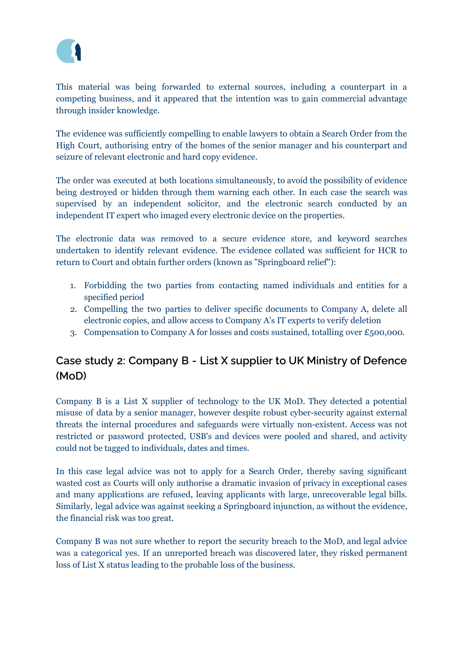

This material was being forwarded to external sources, including a counterpart in a competing business, and it appeared that the intention was to gain commercial advantage through insider knowledge.

The evidence was sufficiently compelling to enable lawyers to obtain a Search Order from the High Court, authorising entry of the homes of the senior manager and his counterpart and seizure of relevant electronic and hard copy evidence.

The order was executed at both locations simultaneously, to avoid the possibility of evidence being destroyed or hidden through them warning each other. In each case the search was supervised by an independent solicitor, and the electronic search conducted by an independent IT expert who imaged every electronic device on the properties.

The electronic data was removed to a secure evidence store, and keyword searches undertaken to identify relevant evidence. The evidence collated was sufficient for HCR to return to Court and obtain further orders (known as "Springboard relief"):

- 1. Forbidding the two parties from contacting named individuals and entities for a specified period
- 2. Compelling the two parties to deliver specific documents to Company A, delete all electronic copies, and allow access to Company A's IT experts to verify deletion
- 3. Compensation to Company A for losses and costs sustained, totalling over £500,000.

#### **Case study 2: Company B - List X supplier to UK Ministry of Defence (MoD)**

Company B is a List X supplier of technology to the UK MoD. They detected a potential misuse of data by a senior manager, however despite robust cyber-security against external threats the internal procedures and safeguards were virtually non-existent. Access was not restricted or password protected, USB's and devices were pooled and shared, and activity could not be tagged to individuals, dates and times.

In this case legal advice was not to apply for a Search Order, thereby saving significant wasted cost as Courts will only authorise a dramatic invasion of privacy in exceptional cases and many applications are refused, leaving applicants with large, unrecoverable legal bills. Similarly, legal advice was against seeking a Springboard injunction, as without the evidence, the financial risk was too great.

Company B was not sure whether to report the security breach to the MoD, and legal advice was a categorical yes. If an unreported breach was discovered later, they risked permanent loss of List X status leading to the probable loss of the business.